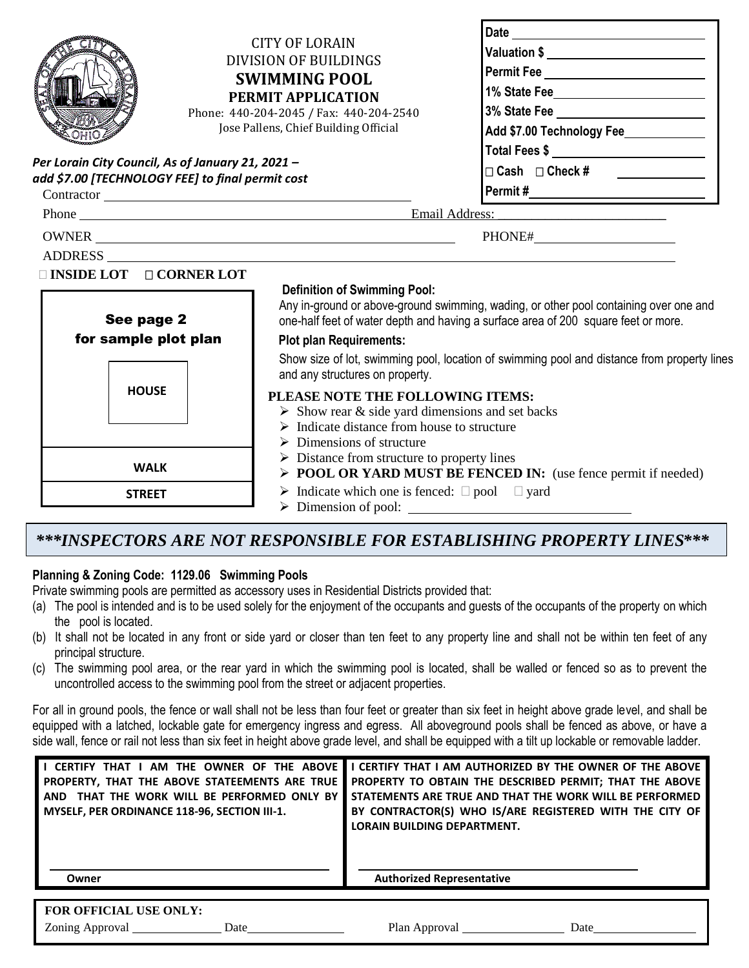| <b>CITY OF LORAIN</b><br>DIVISION OF BUILDINGS<br><b>SWIMMING POOL</b><br>PERMIT APPLICATION<br>Phone: 440-204-2045 / Fax: 440-204-2540<br>Jose Pallens, Chief Building Official<br>Per Lorain City Council, As of January 21, 2021 -<br>add \$7.00 [TECHNOLOGY FEE] to final permit cost<br>Contractor |                                                                                                                                                                                                                                                                                                                                                               | Valuation \$ ______________________________<br>Permit Fee _____________________________<br>1% State Fee____________________________<br>3% State Fee _________________________<br>Add \$7.00 Technology Fee____________<br>Total Fees \$ ___________________________<br>$\Box$ Cash $\Box$ Check #<br><u> Alexandria de la conte</u> |  |  |
|---------------------------------------------------------------------------------------------------------------------------------------------------------------------------------------------------------------------------------------------------------------------------------------------------------|---------------------------------------------------------------------------------------------------------------------------------------------------------------------------------------------------------------------------------------------------------------------------------------------------------------------------------------------------------------|-------------------------------------------------------------------------------------------------------------------------------------------------------------------------------------------------------------------------------------------------------------------------------------------------------------------------------------|--|--|
|                                                                                                                                                                                                                                                                                                         | Phone Email Address: Email Address:                                                                                                                                                                                                                                                                                                                           |                                                                                                                                                                                                                                                                                                                                     |  |  |
|                                                                                                                                                                                                                                                                                                         |                                                                                                                                                                                                                                                                                                                                                               |                                                                                                                                                                                                                                                                                                                                     |  |  |
| See page 2<br>for sample plot plan                                                                                                                                                                                                                                                                      | <b>Definition of Swimming Pool:</b><br>Any in-ground or above-ground swimming, wading, or other pool containing over one and<br>one-half feet of water depth and having a surface area of 200 square feet or more.<br><b>Plot plan Requirements:</b>                                                                                                          |                                                                                                                                                                                                                                                                                                                                     |  |  |
|                                                                                                                                                                                                                                                                                                         | and any structures on property.                                                                                                                                                                                                                                                                                                                               | Show size of lot, swimming pool, location of swimming pool and distance from property lines                                                                                                                                                                                                                                         |  |  |
| <b>WALK</b>                                                                                                                                                                                                                                                                                             | <b>HOUSE</b><br>PLEASE NOTE THE FOLLOWING ITEMS:<br>$\triangleright$ Show rear & side yard dimensions and set backs<br>$\triangleright$ Indicate distance from house to structure<br>$\triangleright$ Dimensions of structure<br>$\triangleright$ Distance from structure to property lines<br>> POOL OR YARD MUST BE FENCED IN: (use fence permit if needed) |                                                                                                                                                                                                                                                                                                                                     |  |  |
| <b>STREET</b>                                                                                                                                                                                                                                                                                           | $\triangleright$ Indicate which one is fenced: $\square$ pool $\square$ yard                                                                                                                                                                                                                                                                                  |                                                                                                                                                                                                                                                                                                                                     |  |  |

Dimension of pool:

## *\*\*\*INSPECTORS ARE NOT RESPONSIBLE FOR ESTABLISHING PROPERTY LINES\*\*\**

## **Planning & Zoning Code: 1129.06 Swimming Pools**

Private swimming pools are permitted as accessory uses in Residential Districts provided that:

- (a) The pool is intended and is to be used solely for the enjoyment of the occupants and guests of the occupants of the property on which the pool is located.
- (b) It shall not be located in any front or side yard or closer than ten feet to any property line and shall not be within ten feet of any principal structure.
- (c) The swimming pool area, or the rear yard in which the swimming pool is located, shall be walled or fenced so as to prevent the uncontrolled access to the swimming pool from the street or adjacent properties.

For all in ground pools, the fence or wall shall not be less than four feet or greater than six feet in height above grade level, and shall be equipped with a latched, lockable gate for emergency ingress and egress. All aboveground pools shall be fenced as above, or have a side wall, fence or rail not less than six feet in height above grade level, and shall be equipped with a tilt up lockable or removable ladder.

| AM THE OWNER OF THE ABOVE<br>I CERTIFY THAT I<br>PROPERTY, THAT THE ABOVE STATEEMENTS ARE TRUE<br>THAT THE WORK WILL BE PERFORMED ONLY BY<br><b>AND</b><br><b>MYSELF. PER ORDINANCE 118-96. SECTION III-1.</b> | CERTIFY THAT I AM AUTHORIZED BY THE OWNER OF THE ABOVE<br>PROPERTY TO OBTAIN THE DESCRIBED PERMIT; THAT THE ABOVE<br>STATEMENTS ARE TRUE AND THAT THE WORK WILL BE PERFORMED<br>BY CONTRACTOR(S) WHO IS/ARE REGISTERED WITH THE CITY OF<br><b>LORAIN BUILDING DEPARTMENT.</b> |
|----------------------------------------------------------------------------------------------------------------------------------------------------------------------------------------------------------------|-------------------------------------------------------------------------------------------------------------------------------------------------------------------------------------------------------------------------------------------------------------------------------|
| Owner                                                                                                                                                                                                          | <b>Authorized Representative</b>                                                                                                                                                                                                                                              |
| <b>FOR OFFICIAL USE ONLY:</b>                                                                                                                                                                                  |                                                                                                                                                                                                                                                                               |

| TON OFFICIAL COLONIEI. |      |               |      |  |  |
|------------------------|------|---------------|------|--|--|
| <b>Zoning Approval</b> | ⊅ate | Plan Approval | Date |  |  |